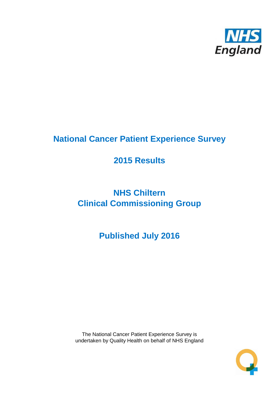

# **National Cancer Patient Experience Survey**

# **2015 Results**

# **NHS Chiltern Clinical Commissioning Group**

# **Published July 2016**

The National Cancer Patient Experience Survey is undertaken by Quality Health on behalf of NHS England

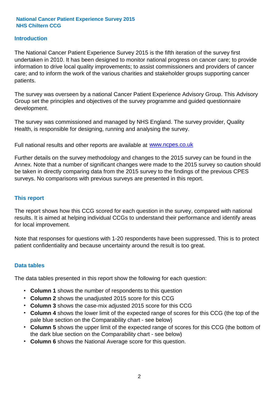### **Introduction**

The National Cancer Patient Experience Survey 2015 is the fifth iteration of the survey first undertaken in 2010. It has been designed to monitor national progress on cancer care; to provide information to drive local quality improvements; to assist commissioners and providers of cancer care; and to inform the work of the various charities and stakeholder groups supporting cancer patients.

The survey was overseen by a national Cancer Patient Experience Advisory Group. This Advisory Group set the principles and objectives of the survey programme and guided questionnaire development.

The survey was commissioned and managed by NHS England. The survey provider, Quality Health, is responsible for designing, running and analysing the survey.

Full national results and other reports are available at www.ncpes.co.uk

Further details on the survey methodology and changes to the 2015 survey can be found in the Annex. Note that a number of significant changes were made to the 2015 survey so caution should be taken in directly comparing data from the 2015 survey to the findings of the previous CPES surveys. No comparisons with previous surveys are presented in this report.

#### **This report**

The report shows how this CCG scored for each question in the survey, compared with national results. It is aimed at helping individual CCGs to understand their performance and identify areas for local improvement.

Note that responses for questions with 1-20 respondents have been suppressed. This is to protect patient confidentiality and because uncertainty around the result is too great.

#### **Data tables**

The data tables presented in this report show the following for each question:

- **Column 1** shows the number of respondents to this question
- **Column 2** shows the unadjusted 2015 score for this CCG
- **Column 3** shows the case-mix adjusted 2015 score for this CCG
- **Column 4** shows the lower limit of the expected range of scores for this CCG (the top of the pale blue section on the Comparability chart - see below)
- **Column 5** shows the upper limit of the expected range of scores for this CCG (the bottom of the dark blue section on the Comparability chart - see below)
- **Column 6** shows the National Average score for this question.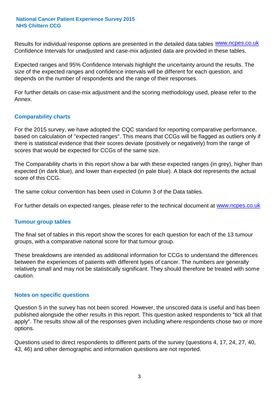Results for individual response options are presented in the detailed data tables **WWW.ncpes.co.uk** Confidence Intervals for unadjusted and case-mix adjusted data are provided in these tables.

Expected ranges and 95% Confidence Intervals highlight the uncertainty around the results. The size of the expected ranges and confidence intervals will be different for each question, and depends on the number of respondents and the range of their responses.

For further details on case-mix adjustment and the scoring methodology used, please refer to the Annex.

### **Comparability charts**

For the 2015 survey, we have adopted the CQC standard for reporting comparative performance, based on calculation of "expected ranges". This means that CCGs will be flagged as outliers only if there is statistical evidence that their scores deviate (positively or negatively) from the range of scores that would be expected for CCGs of the same size.

The Comparability charts in this report show a bar with these expected ranges (in grey), higher than expected (in dark blue), and lower than expected (in pale blue). A black dot represents the actual score of this CCG.

The same colour convention has been used in Column 3 of the Data tables.

For further details on expected ranges, please refer to the technical document at **www.ncpes.co.uk** 

#### **Tumour group tables**

The final set of tables in this report show the scores for each question for each of the 13 tumour groups, with a comparative national score for that tumour group.

These breakdowns are intended as additional information for CCGs to understand the differences between the experiences of patients with different types of cancer. The numbers are generally relatively small and may not be statistically significant. They should therefore be treated with some caution.

#### **Notes on specific questions**

Question 5 in the survey has not been scored. However, the unscored data is useful and has been published alongside the other results in this report. This question asked respondents to "tick all that apply". The results show all of the responses given including where respondents chose two or more options.

Questions used to direct respondents to different parts of the survey (questions 4, 17, 24, 27, 40, 43, 46) and other demographic and information questions are not reported.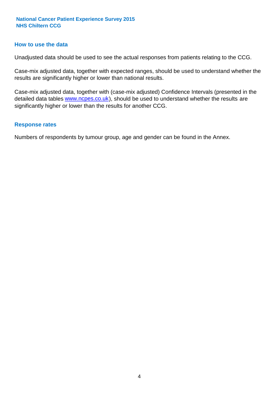#### **How to use the data**

Unadjusted data should be used to see the actual responses from patients relating to the CCG.

Case-mix adjusted data, together with expected ranges, should be used to understand whether the results are significantly higher or lower than national results.

Case-mix adjusted data, together with (case-mix adjusted) Confidence Intervals (presented in the detailed data tables **www.ncpes.co.uk**), should be used to understand whether the results are significantly higher or lower than the results for another CCG.

#### **Response rates**

Numbers of respondents by tumour group, age and gender can be found in the Annex.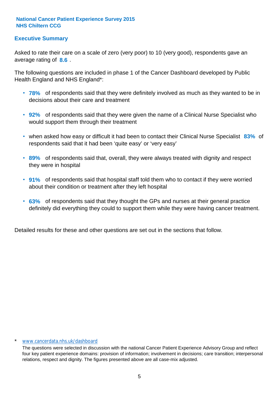### **Executive Summary**

average rating of 8.6. Asked to rate their care on a scale of zero (very poor) to 10 (very good), respondents gave an

The following questions are included in phase 1 of the Cancer Dashboard developed by Public Health England and NHS England\*:

- **78%** of respondents said that they were definitely involved as much as they wanted to be in decisions about their care and treatment
- **92%** of respondents said that they were given the name of a Clinical Nurse Specialist who would support them through their treatment
- when asked how easy or difficult it had been to contact their Clinical Nurse Specialist 83% of respondents said that it had been 'quite easy' or 'very easy'
- **89%** of respondents said that, overall, they were always treated with dignity and respect they were in hospital
- **91%** of respondents said that hospital staff told them who to contact if they were worried about their condition or treatment after they left hospital
- **63%** of respondents said that they thought the GPs and nurses at their general practice definitely did everything they could to support them while they were having cancer treatment.

Detailed results for these and other questions are set out in the sections that follow.

#### \* www.cancerdata.nhs.uk/dashboard

The questions were selected in discussion with the national Cancer Patient Experience Advisory Group and reflect four key patient experience domains: provision of information; involvement in decisions; care transition; interpersonal relations, respect and dignity. The figures presented above are all case-mix adjusted.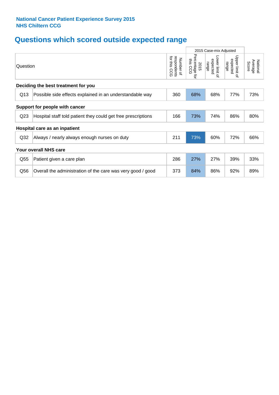# **Questions which scored outside expected range**

|                                |                                                               |                                             | 2015 Case-mix Adjusted              |                                     |                                              |                              |  |
|--------------------------------|---------------------------------------------------------------|---------------------------------------------|-------------------------------------|-------------------------------------|----------------------------------------------|------------------------------|--|
| Question                       |                                                               | for this<br>respondents<br>Number of<br>ccg | Percentage<br>this CCG<br>2015<br>ţ | Lower limit of<br>expected<br>range | Upper limit<br>expected<br>range<br>$\Omega$ | Average<br>National<br>Score |  |
|                                | Deciding the best treatment for you                           |                                             |                                     |                                     |                                              |                              |  |
| Q13                            | Possible side effects explained in an understandable way      | 360                                         | 68%                                 | 68%                                 | 77%                                          | 73%                          |  |
| Support for people with cancer |                                                               |                                             |                                     |                                     |                                              |                              |  |
| Q <sub>23</sub>                | Hospital staff told patient they could get free prescriptions | 166                                         | 73%                                 | 74%                                 | 86%                                          | 80%                          |  |
|                                | Hospital care as an inpatient                                 |                                             |                                     |                                     |                                              |                              |  |
| Q <sub>32</sub>                | Always / nearly always enough nurses on duty                  | 211                                         | 73%                                 | 60%                                 | 72%                                          | 66%                          |  |
|                                | <b>Your overall NHS care</b>                                  |                                             |                                     |                                     |                                              |                              |  |
| Q <sub>55</sub>                | Patient given a care plan                                     | 286                                         | 27%                                 | 27%                                 | 39%                                          | 33%                          |  |
| Q56                            | Overall the administration of the care was very good / good   | 373                                         | 84%                                 | 86%                                 | 92%                                          | 89%                          |  |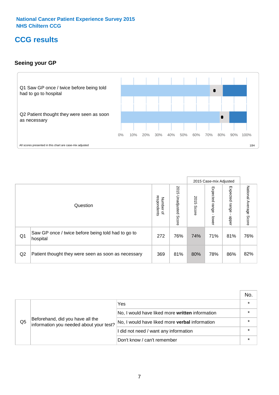# **CCG results**

## **Seeing your GP**



|    |                                                                |                                                     |                             |               | 2015 Case-mix Adjusted     |                            |                           |
|----|----------------------------------------------------------------|-----------------------------------------------------|-----------------------------|---------------|----------------------------|----------------------------|---------------------------|
|    | Question                                                       | respondents<br><b>Number</b><br>$\overline{\sigma}$ | 2015<br>Unadjusted<br>Score | 2015<br>Score | Expected<br>range<br>lower | Expected<br>range<br>nbber | National Average<br>Score |
| Q1 | Saw GP once / twice before being told had to go to<br>hospital | 272                                                 | 76%                         | 74%           | 71%                        | 81%                        | 76%                       |
| Q2 | Patient thought they were seen as soon as necessary            | 369                                                 | 81%                         | 80%           | 78%                        | 86%                        | 82%                       |

|    |                                                                             |                                                 | No. |
|----|-----------------------------------------------------------------------------|-------------------------------------------------|-----|
|    | Beforehand, did you have all the<br>information you needed about your test? | Yes                                             |     |
| Q5 |                                                                             | No, I would have liked more written information |     |
|    |                                                                             | No, I would have liked more verbal information  |     |
|    |                                                                             | I did not need / want any information           |     |
|    |                                                                             | Don't know / can't remember                     |     |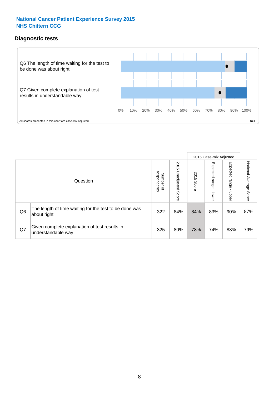### **Diagnostic tests**



|    |                                                                       |                                       |                             |               | 2015 Case-mix Adjusted      |                         |                           |
|----|-----------------------------------------------------------------------|---------------------------------------|-----------------------------|---------------|-----------------------------|-------------------------|---------------------------|
|    | Question                                                              | respondents<br>Number<br>$\mathbf{Q}$ | 2015<br>Unadjusted<br>Score | 2015<br>Score | Expected<br>Irange<br>lower | Expected range<br>nbber | National Average<br>Score |
| Q6 | The length of time waiting for the test to be done was<br>about right | 322                                   | 84%                         | 84%           | 83%                         | 90%                     | 87%                       |
| Q7 | Given complete explanation of test results in<br>understandable way   | 325                                   | 80%                         | 78%           | 74%                         | 83%                     | 79%                       |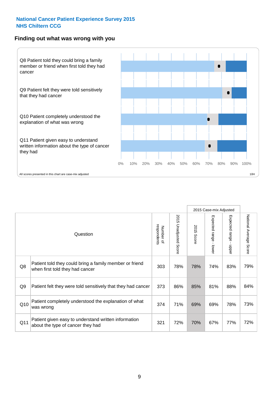#### **Finding out what was wrong with you**



2015 Case-mix Adjusted 2015 Unadjusted Score 2015 Unadjusted Score Number of<br>respondents 2015 Score respondents Number of Question Patient told they could bring a family member or friend

| Q8              | Patient told they could bring a family member or friend<br>when first told they had cancer | 303 | 78% | 78% | 74% | 83% | 79% |
|-----------------|--------------------------------------------------------------------------------------------|-----|-----|-----|-----|-----|-----|
| Q9              | Patient felt they were told sensitively that they had cancer                               | 373 | 86% | 85% | 81% | 88% | 84% |
| Q10             | Patient completely understood the explanation of what<br>was wrong                         | 374 | 71% | 69% | 69% | 78% | 73% |
| Q <sub>11</sub> | Patient given easy to understand written information<br>about the type of cancer they had  | 321 | 72% | 70% | 67% | 77% | 72% |

2015 Score

Expected range - lower

Expected range - lower

Expected range - upper

Expected range - upper

National Average Score

National Average Score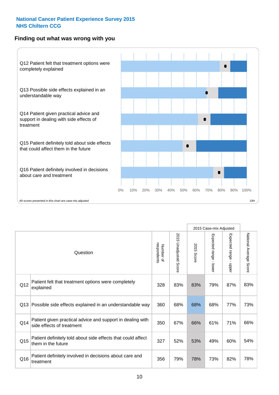### **Finding out what was wrong with you**



|                 |                                                                                         |                          |                       |               | 2015 Case-mix Adjusted                  |                           |                        |
|-----------------|-----------------------------------------------------------------------------------------|--------------------------|-----------------------|---------------|-----------------------------------------|---------------------------|------------------------|
| Question        |                                                                                         | respondents<br>Number of | 2015 Unadjusted Score | 2015<br>Score | Expected range<br>$\mathbf{r}$<br>lower | Expected range -<br>nbber | National Average Score |
| Q12             | Patient felt that treatment options were completely<br>explained                        | 328                      | 83%                   | 83%           | 79%                                     | 87%                       | 83%                    |
| Q13             | Possible side effects explained in an understandable way                                | 360                      | 68%                   | 68%           | 68%                                     | 77%                       | 73%                    |
| Q14             | Patient given practical advice and support in dealing with<br>side effects of treatment | 350                      | 67%                   | 66%           | 61%                                     | 71%                       | 66%                    |
| Q <sub>15</sub> | Patient definitely told about side effects that could affect<br>them in the future      | 327                      | 52%                   | 53%           | 49%                                     | 60%                       | 54%                    |
| Q16             | Patient definitely involved in decisions about care and<br>treatment                    | 356                      | 79%                   | 78%           | 73%                                     | 82%                       | 78%                    |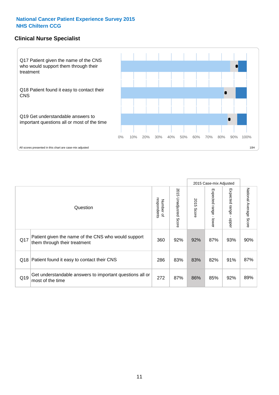### **Clinical Nurse Specialist**



|     |                                                                                     |                          |                       |               | 2015 Case-mix Adjusted  |                         |                        |
|-----|-------------------------------------------------------------------------------------|--------------------------|-----------------------|---------------|-------------------------|-------------------------|------------------------|
|     | Question                                                                            | respondents<br>Number of | 2015 Unadjusted Score | 2015<br>Score | Expected range<br>lower | Expected range<br>nbber | National Average Score |
| Q17 | Patient given the name of the CNS who would support<br>them through their treatment | 360                      | 92%                   | 92%           | 87%                     | 93%                     | 90%                    |
|     | Q18 Patient found it easy to contact their CNS                                      | 286                      | 83%                   | 83%           | 82%                     | 91%                     | 87%                    |
| Q19 | Get understandable answers to important questions all or<br>most of the time        | 272                      | 87%                   | 86%           | 85%                     | 92%                     | 89%                    |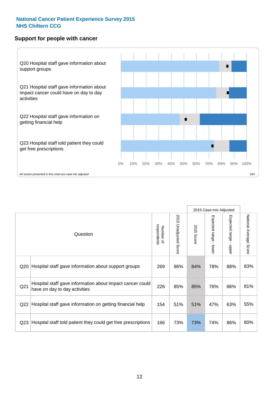### **Support for people with cancer**



|                 |                                                                                            |                          |                          |               | 2015 Case-mix Adjusted    |                                         |                        |
|-----------------|--------------------------------------------------------------------------------------------|--------------------------|--------------------------|---------------|---------------------------|-----------------------------------------|------------------------|
|                 | Question                                                                                   | respondents<br>Number of | 2015<br>Unadjusted Score | 2015<br>Score | Expected range<br>- lower | Expected range<br>$\mathbf{r}$<br>nbber | National Average Score |
| Q20             | Hospital staff gave information about support groups                                       | 269                      | 86%                      | 84%           | 78%                       | 88%                                     | 83%                    |
| Q <sub>21</sub> | Hospital staff gave information about impact cancer could<br>have on day to day activities | 226                      | 85%                      | 85%           | 76%                       | 86%                                     | 81%                    |
| Q22             | Hospital staff gave information on getting financial help                                  | 154                      | 51%                      | 51%           | 47%                       | 63%                                     | 55%                    |
| Q <sub>23</sub> | Hospital staff told patient they could get free prescriptions                              | 166                      | 73%                      | 73%           | 74%                       | 86%                                     | 80%                    |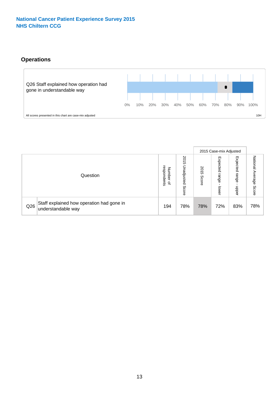# **Operations**



|     |                                                                 |                                         |                             |               | 2015 Case-mix Adjusted     |                           |                              |
|-----|-----------------------------------------------------------------|-----------------------------------------|-----------------------------|---------------|----------------------------|---------------------------|------------------------------|
|     | Question                                                        | respondents<br>Number<br>$\overline{a}$ | 2015<br>Unadjusted<br>Score | 2015<br>Score | Expected<br>range<br>lower | Expected<br>range<br>ddoe | National<br>Average<br>Score |
| Q26 | Staff explained how operation had gone in<br>understandable way | 194                                     | 78%                         | 78%           | 72%                        | 83%                       | 78%                          |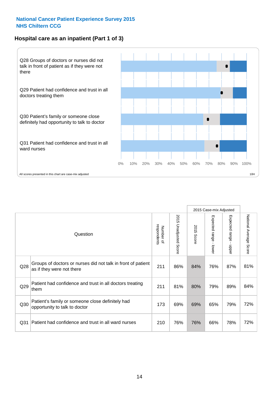# **Hospital care as an inpatient (Part 1 of 3)**



All scores presented in this chart are case-mix adjusted  $10H$ 

|                 |                                                                                           |                          |                                 |               | 2015 Case-mix Adjusted                    |                           |                        |
|-----------------|-------------------------------------------------------------------------------------------|--------------------------|---------------------------------|---------------|-------------------------------------------|---------------------------|------------------------|
|                 | Question                                                                                  | respondents<br>Number of | 2015<br><b>Unadjusted Score</b> | 2015<br>Score | Expected range<br>$\blacksquare$<br>lower | Expected range<br>- nbber | National Average Score |
| Q28             | Groups of doctors or nurses did not talk in front of patient<br>as if they were not there | 211                      | 86%                             | 84%           | 76%                                       | 87%                       | 81%                    |
| Q29             | Patient had confidence and trust in all doctors treating<br>them                          | 211                      | 81%                             | 80%           | 79%                                       | 89%                       | 84%                    |
| Q30             | Patient's family or someone close definitely had<br>opportunity to talk to doctor         | 173                      | 69%                             | 69%           | 65%                                       | 79%                       | 72%                    |
| Q <sub>31</sub> | Patient had confidence and trust in all ward nurses                                       | 210                      | 76%                             | 76%           | 66%                                       | 78%                       | 72%                    |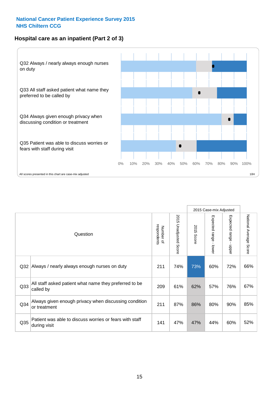### **Hospital care as an inpatient (Part 2 of 3)**



2015 Case-mix Adjusted National Average Score 2015 Unadjusted Score Expected range - lower Expected range - upper National Average Score 2015 Unadjusted Score Expected range - upper Expected range - lower Number of<br>respondents respondents 2015 Score 2015 Score Number of Question Q32 211 74% 73% 60% 72% Always / nearly always enough nurses on duty 66% Q33 209 61% 62% 57% 76% All staff asked patient what name they preferred to be called by 67% Q34 Always given enough privacy when discussing condition  $\begin{array}{|c|c|c|c|c|c|c|c|c|}\n\hline\n\text{Q34} & \text{or } & \text{so} & 80\% & 90\% \\
\hline\n\end{array}$ or treatment  $\frac{35\%}{85\%}$  or treatment Patient was able to discuss worries or fears with staff during visit during visit  $\frac{32\%}{1000}$  S2% Q35 decision with the discussion of the control of the control of the control of the control of the control of the control of the control of the control of the control of the control of the control of the control of the co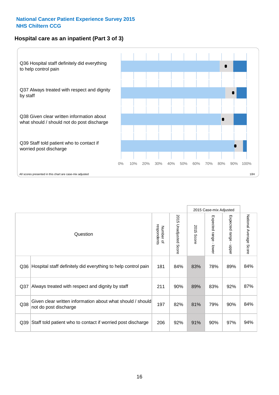### **Hospital care as an inpatient (Part 3 of 3)**



|                 |                                                                                     |                          |                                 |               | 2015 Case-mix Adjusted                    |                           |                        |
|-----------------|-------------------------------------------------------------------------------------|--------------------------|---------------------------------|---------------|-------------------------------------------|---------------------------|------------------------|
|                 | Question                                                                            | Number of<br>respondents | 2015<br><b>Unadjusted Score</b> | 2015<br>Score | Expected range<br>$\blacksquare$<br>lower | Expected range -<br>nbber | National Average Score |
| Q36             | Hospital staff definitely did everything to help control pain                       | 181                      | 84%                             | 83%           | 78%                                       | 89%                       | 84%                    |
| Q <sub>37</sub> | Always treated with respect and dignity by staff                                    | 211                      | 90%                             | 89%           | 83%                                       | 92%                       | 87%                    |
| Q38             | Given clear written information about what should / should<br>not do post discharge | 197                      | 82%                             | 81%           | 79%                                       | 90%                       | 84%                    |
| Q39             | Staff told patient who to contact if worried post discharge                         | 206                      | 92%                             | 91%           | 90%                                       | 97%                       | 94%                    |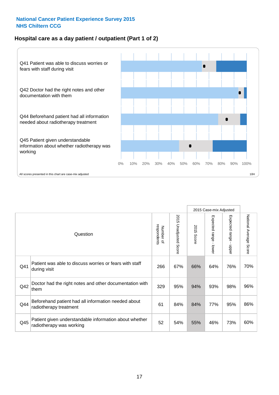### **Hospital care as a day patient / outpatient (Part 1 of 2)**



|     |                                                                                    |                          |                                      |               | 2015 Case-mix Adjusted                    |                                           |                        |
|-----|------------------------------------------------------------------------------------|--------------------------|--------------------------------------|---------------|-------------------------------------------|-------------------------------------------|------------------------|
|     | Question                                                                           | respondents<br>Number of | 201<br>C)<br><b>Unadjusted Score</b> | 2015<br>Score | Expected range<br>$\blacksquare$<br>lower | Expected range<br>$\blacksquare$<br>nbber | National Average Score |
| Q41 | Patient was able to discuss worries or fears with staff<br>during visit            | 266                      | 67%                                  | 66%           | 64%                                       | 76%                                       | 70%                    |
| Q42 | Doctor had the right notes and other documentation with<br>them                    | 329                      | 95%                                  | 94%           | 93%                                       | 98%                                       | 96%                    |
| Q44 | Beforehand patient had all information needed about<br>radiotherapy treatment      | 61                       | 84%                                  | 84%           | 77%                                       | 95%                                       | 86%                    |
| Q45 | Patient given understandable information about whether<br>radiotherapy was working | 52                       | 54%                                  | 55%           | 46%                                       | 73%                                       | 60%                    |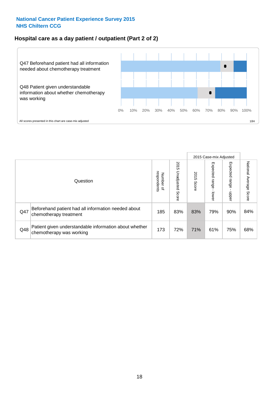### **Hospital care as a day patient / outpatient (Part 2 of 2)**



|     |                                                                                    |                                       | 2015 Case-mix Adjusted      |               |                         |                            |                           |
|-----|------------------------------------------------------------------------------------|---------------------------------------|-----------------------------|---------------|-------------------------|----------------------------|---------------------------|
|     | Question                                                                           | respondents<br>Number<br>$\mathbf{Q}$ | 2015<br>Unadjusted<br>Score | 2015<br>Score | Expected range<br>lower | Expected<br>range<br>nbber | National Average<br>Score |
| Q47 | Beforehand patient had all information needed about<br>chemotherapy treatment      | 185                                   | 83%                         | 83%           | 79%                     | 90%                        | 84%                       |
| Q48 | Patient given understandable information about whether<br>chemotherapy was working | 173                                   | 72%                         | 71%           | 61%                     | 75%                        | 68%                       |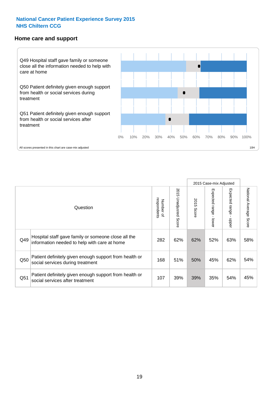#### **Home care and support**



|     |                                                                                                     | 2015 Case-mix Adjusted   |                          |               |                         |                        |                                  |
|-----|-----------------------------------------------------------------------------------------------------|--------------------------|--------------------------|---------------|-------------------------|------------------------|----------------------------------|
|     | Question                                                                                            | Number of<br>respondents | 2015<br>Unadjusted Score | 2015<br>Score | Expected range<br>lower | Expected range<br>ddau | National Average<br><b>Score</b> |
| Q49 | Hospital staff gave family or someone close all the<br>information needed to help with care at home | 282                      | 62%                      | 62%           | 52%                     | 63%                    | 58%                              |
| Q50 | Patient definitely given enough support from health or<br>social services during treatment          | 168                      | 51%                      | 50%           | 45%                     | 62%                    | 54%                              |
| Q51 | Patient definitely given enough support from health or<br>social services after treatment           | 107                      | 39%                      | 39%           | 35%                     | 54%                    | 45%                              |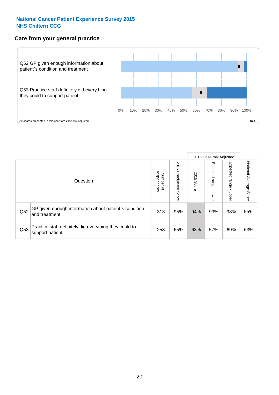### **Care from your general practice**



|     |                                                                           |                                              |                             |               |                                    | 2015 Case-mix Adjusted       |                           |
|-----|---------------------------------------------------------------------------|----------------------------------------------|-----------------------------|---------------|------------------------------------|------------------------------|---------------------------|
|     | Question                                                                  | respondents<br>Number<br>$\overline{\sigma}$ | 2015<br>Unadjusted<br>Score | 2015<br>Score | Expected<br><b>Irange</b><br>lower | Expected<br>  range<br>doper | National Average<br>Score |
| Q52 | GP given enough information about patient's condition<br>and treatment    | 313                                          | 95%                         | 94%           | 93%                                | 98%                          | 95%                       |
| Q53 | Practice staff definitely did everything they could to<br>support patient | 253                                          | 65%                         | 63%           | 57%                                | 69%                          | 63%                       |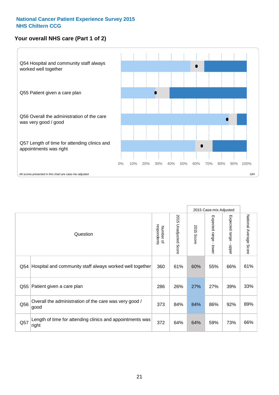# **Your overall NHS care (Part 1 of 2)**



|     |                                                                    |                          | 2015 Case-mix Adjusted          |                      |                         |                                           |                        |
|-----|--------------------------------------------------------------------|--------------------------|---------------------------------|----------------------|-------------------------|-------------------------------------------|------------------------|
|     | Question                                                           | respondents<br>Number of | 2015<br><b>Unadjusted Score</b> | 2015<br><b>Score</b> | Expected range<br>lower | Expected range<br>$\blacksquare$<br>nbber | National Average Score |
| Q54 | Hospital and community staff always worked well together           | 360                      | 61%                             | 60%                  | 55%                     | 66%                                       | 61%                    |
| Q55 | Patient given a care plan                                          | 286                      | 26%                             | 27%                  | 27%                     | 39%                                       | 33%                    |
| Q56 | Overall the administration of the care was very good /<br>good     | 373                      | 84%                             | 84%                  | 86%                     | 92%                                       | 89%                    |
| Q57 | Length of time for attending clinics and appointments was<br>right | 372                      | 64%                             | 64%                  | 59%                     | 73%                                       | 66%                    |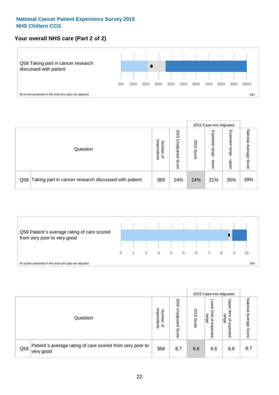# **Your overall NHS care (Part 2 of 2)**



|                                                           |                                         |                             |               |                            | 2015 Case-mix Adjusted     |                           |
|-----------------------------------------------------------|-----------------------------------------|-----------------------------|---------------|----------------------------|----------------------------|---------------------------|
| Question                                                  | respondents<br>Number<br>$\overline{a}$ | 2015<br>Unadjusted<br>Score | 2015<br>Score | Expected<br>range<br>lower | Expected<br>range<br>doper | National<br>Average Score |
| Q58 Taking part in cancer research discussed with patient | 369                                     | 24%                         | 24%           | 21%                        | 35%                        | 28%                       |



|     |                                                                        |                                              |                             |               |                                         | 2015 Case-mix Adjusted                   |                              |
|-----|------------------------------------------------------------------------|----------------------------------------------|-----------------------------|---------------|-----------------------------------------|------------------------------------------|------------------------------|
|     | Question                                                               | respondents<br>Number<br>$\overline{\sigma}$ | 2015<br>Jnadjusted<br>Score | 2015<br>Score | OWer<br>limit<br>range<br>₽<br>expected | Upper<br>limit<br>range<br>õ<br>expected | National<br>Average<br>Score |
| Q59 | Patient's average rating of care scored from very poor to<br>very good | 368                                          | 8.7                         | 8.6           | 8.6                                     | 8.8                                      | 8.7                          |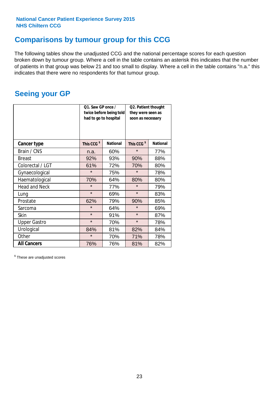# **Comparisons by tumour group for this CCG**

The following tables show the unadjusted CCG and the national percentage scores for each question broken down by tumour group. Where a cell in the table contains an asterisk this indicates that the number of patients in that group was below 21 and too small to display. Where a cell in the table contains "n.a." this indicates that there were no respondents for that tumour group.

# **Seeing your GP**

|                      | Q1. Saw GP once /<br>had to go to hospital | twice before being told | Q2. Patient thought<br>they were seen as<br>soon as necessary |                 |  |
|----------------------|--------------------------------------------|-------------------------|---------------------------------------------------------------|-----------------|--|
| <b>Cancer type</b>   | This CCG <sup>\$</sup>                     | <b>National</b>         | This CCG <sup>\$</sup>                                        | <b>National</b> |  |
| Brain / CNS          | n.a.                                       | 60%                     | $\star$                                                       | 77%             |  |
| <b>Breast</b>        | 92%                                        | 93%                     | 90%                                                           | 88%             |  |
| Colorectal / LGT     | 61%                                        | 72%                     | 70%                                                           | 80%             |  |
| Gynaecological       | $\star$                                    | 75%                     | $\star$                                                       | 78%             |  |
| Haematological       | 70%                                        | 64%                     | 80%                                                           | 80%             |  |
| <b>Head and Neck</b> | $\star$                                    | 77%                     | $\star$                                                       | 79%             |  |
| Lung                 | $\star$                                    | 69%                     | $\star$                                                       | 83%             |  |
| Prostate             | 62%                                        | 79%                     | 90%                                                           | 85%             |  |
| Sarcoma              | $\star$                                    | 64%                     | $\star$                                                       | 69%             |  |
| Skin                 | $\star$                                    | 91%                     | $\star$                                                       | 87%             |  |
| <b>Upper Gastro</b>  | $\star$                                    | 70%                     | $\star$                                                       | 78%             |  |
| Urological           | 84%                                        | 81%                     | 82%                                                           | 84%             |  |
| Other                | $\star$                                    | 70%                     |                                                               | 78%             |  |
| <b>All Cancers</b>   | 76%                                        | 76%                     | 81%                                                           | 82%             |  |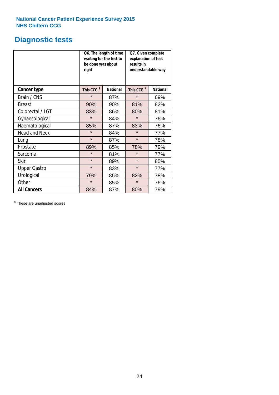# **Diagnostic tests**

|                      | be done was about<br>right | Q6. The length of time<br>waiting for the test to | Q7. Given complete<br>explanation of test<br>results in<br>understandable way |                 |  |
|----------------------|----------------------------|---------------------------------------------------|-------------------------------------------------------------------------------|-----------------|--|
| <b>Cancer type</b>   | This CCG <sup>\$</sup>     | <b>National</b>                                   | This CCG <sup>\$</sup>                                                        | <b>National</b> |  |
| Brain / CNS          | $\star$                    | 87%                                               | $\star$                                                                       | 69%             |  |
| <b>Breast</b>        | 90%                        | 90%                                               | 81%                                                                           | 82%             |  |
| Colorectal / LGT     | 83%                        | 86%                                               | 80%                                                                           | 81%             |  |
| Gynaecological       | $\star$                    | 84%                                               | $\star$                                                                       | 76%             |  |
| Haematological       | 85%                        | 87%                                               | 83%                                                                           | 76%             |  |
| <b>Head and Neck</b> | $\star$                    | 84%                                               | $\star$                                                                       | 77%             |  |
| Lung                 | $\star$                    | 87%                                               | $\star$                                                                       | 78%             |  |
| Prostate             | 89%                        | 85%                                               | 78%                                                                           | 79%             |  |
| Sarcoma              | $\star$                    | 81%                                               | $\star$                                                                       | 77%             |  |
| Skin                 | $\star$                    | 89%                                               | $\star$                                                                       | 85%             |  |
| <b>Upper Gastro</b>  | $\star$                    | 83%                                               | $\star$                                                                       | 77%             |  |
| Urological           | 79%                        | 85%                                               | 82%                                                                           | 78%             |  |
| Other                | $\star$                    | 85%                                               | $\star$                                                                       | 76%             |  |
| <b>All Cancers</b>   | 84%                        | 87%                                               | 80%                                                                           | 79%             |  |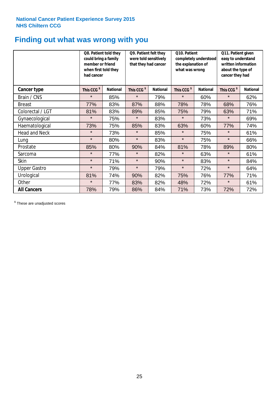# **Finding out what was wrong with you**

|                      | Q8. Patient told they<br>could bring a family<br>member or friend<br>when first told they<br>had cancer |                 | Q9. Patient felt they<br>were told sensitively<br>that they had cancer |                 | Q10. Patient<br>completely understood<br>the explanation of<br>what was wrong |                 | Q11. Patient given<br>easy to understand<br>written information<br>about the type of<br>cancer they had |                 |
|----------------------|---------------------------------------------------------------------------------------------------------|-----------------|------------------------------------------------------------------------|-----------------|-------------------------------------------------------------------------------|-----------------|---------------------------------------------------------------------------------------------------------|-----------------|
| Cancer type          | This CCG <sup>\$</sup>                                                                                  | <b>National</b> | This CCG <sup>\$</sup>                                                 | <b>National</b> | This CCG <sup>\$</sup>                                                        | <b>National</b> | This CCG <sup>\$</sup>                                                                                  | <b>National</b> |
| Brain / CNS          | $\star$                                                                                                 | 85%             | $\star$                                                                | 79%             | $\star$                                                                       | 60%             | $\star$                                                                                                 | 62%             |
| <b>Breast</b>        | 77%                                                                                                     | 83%             | 87%                                                                    | 88%             | 78%                                                                           | 78%             | 68%                                                                                                     | 76%             |
| Colorectal / LGT     | 81%                                                                                                     | 83%             | 89%                                                                    | 85%             | 75%                                                                           | 79%             | 63%                                                                                                     | 71%             |
| Gynaecological       | $\star$                                                                                                 | 75%             | $\star$                                                                | 83%             | $\star$                                                                       | 73%             | $\star$                                                                                                 | 69%             |
| Haematological       | 73%                                                                                                     | 75%             | 85%                                                                    | 83%             | 63%                                                                           | 60%             | 77%                                                                                                     | 74%             |
| <b>Head and Neck</b> | $\star$                                                                                                 | 73%             | $\star$                                                                | 85%             | $\star$                                                                       | 75%             | $\star$                                                                                                 | 61%             |
| Lung                 | $\star$                                                                                                 | 80%             | $\star$                                                                | 83%             | $\star$                                                                       | 75%             | $\star$                                                                                                 | 66%             |
| Prostate             | 85%                                                                                                     | 80%             | 90%                                                                    | 84%             | 81%                                                                           | 78%             | 89%                                                                                                     | 80%             |
| Sarcoma              | $\star$                                                                                                 | 77%             | $\star$                                                                | 82%             | $\star$                                                                       | 63%             | $\star$                                                                                                 | 61%             |
| Skin                 | $\star$                                                                                                 | 71%             | $\star$                                                                | 90%             | $\star$                                                                       | 83%             | $\star$                                                                                                 | 84%             |
| <b>Upper Gastro</b>  | $\star$                                                                                                 | 79%             | $\star$                                                                | 79%             | $\star$                                                                       | 72%             | $\star$                                                                                                 | 64%             |
| Urological           | 81%                                                                                                     | 74%             | 90%                                                                    | 82%             | 75%                                                                           | 76%             | 77%                                                                                                     | 71%             |
| Other                | $\star$                                                                                                 | 77%             | 83%                                                                    | 82%             | 48%                                                                           | 72%             | $\star$                                                                                                 | 61%             |
| <b>All Cancers</b>   | 78%                                                                                                     | 79%             | 86%                                                                    | 84%             | 71%                                                                           | 73%             | 72%                                                                                                     | 72%             |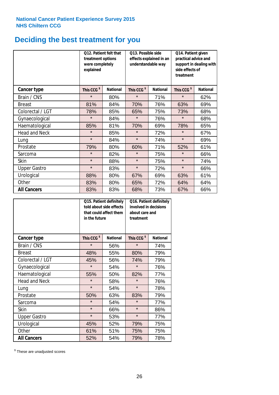# **Deciding the best treatment for you**

|                      | treatment options<br>were completely<br>explained | 012. Patient felt that | O13. Possible side<br>understandable way | effects explained in an | Q14. Patient given<br>practical advice and<br>support in dealing with<br>side effects of<br>treatment |                 |  |
|----------------------|---------------------------------------------------|------------------------|------------------------------------------|-------------------------|-------------------------------------------------------------------------------------------------------|-----------------|--|
| <b>Cancer type</b>   | This CCG <sup>\$</sup>                            | <b>National</b>        | This CCG <sup>\$</sup>                   | <b>National</b>         | This CCG <sup>\$</sup>                                                                                | <b>National</b> |  |
| Brain / CNS          | $\star$                                           | 80%                    | $\star$                                  | 71%                     | $\star$                                                                                               | 62%             |  |
| <b>Breast</b>        | 81%                                               | 84%                    | 70%                                      | 76%                     | 63%                                                                                                   | 69%             |  |
| Colorectal / LGT     | 78%                                               | 85%                    | 65%                                      | 75%                     | 73%                                                                                                   | 68%             |  |
| Gynaecological       | $\star$                                           | 84%                    | $\star$                                  | 76%                     | $\star$                                                                                               | 68%             |  |
| Haematological       | 85%                                               | 81%                    | 70%                                      | 69%                     | 78%                                                                                                   | 65%             |  |
| <b>Head and Neck</b> | $\star$                                           | 85%                    | $\star$                                  | 72%                     | $\star$                                                                                               | 67%             |  |
| Lung                 | $\star$                                           | 84%                    | $\star$                                  | 74%                     | $\star$                                                                                               | 69%             |  |
| Prostate             | 79%                                               | 80%                    | 60%                                      | 71%                     | 52%                                                                                                   | 61%             |  |
| Sarcoma              | $\star$                                           | 82%                    | $\star$                                  | 75%                     | $\star$                                                                                               | 66%             |  |
| Skin                 | $\star$                                           | 88%                    | $\star$                                  | 75%                     | $\star$                                                                                               | 74%             |  |
| <b>Upper Gastro</b>  | $\star$                                           | 83%                    | $\star$                                  | 72%                     | $\star$                                                                                               | 66%             |  |
| Urological           | 88%                                               | 80%                    | 67%                                      | 69%                     | 63%                                                                                                   | 61%             |  |
| Other                | 83%                                               | 80%                    | 65%                                      | 72%                     | 64%                                                                                                   | 64%             |  |
| <b>All Cancers</b>   | 83%                                               | 83%                    | 68%                                      | 73%                     | 67%                                                                                                   | 66%             |  |

|                      | in the future          | Q15. Patient definitely<br>told about side effects<br>that could affect them | Q16. Patient definitely<br>involved in decisions<br>about care and<br>treatment |                 |  |
|----------------------|------------------------|------------------------------------------------------------------------------|---------------------------------------------------------------------------------|-----------------|--|
| <b>Cancer type</b>   | This CCG <sup>\$</sup> | <b>National</b>                                                              | This CCG <sup>\$</sup>                                                          | <b>National</b> |  |
| Brain / CNS          | $\star$                | 56%                                                                          | $\star$                                                                         | 74%             |  |
| <b>Breast</b>        | 48%                    | 55%                                                                          | 80%                                                                             | 79%             |  |
| Colorectal / LGT     | 45%                    | 56%                                                                          | 74%                                                                             | 79%             |  |
| Gynaecological       | $\star$                | 54%                                                                          | $\star$                                                                         | 76%             |  |
| Haematological       | 50%<br>55%             |                                                                              | 82%                                                                             | 77%             |  |
| <b>Head and Neck</b> | $\star$                | 58%                                                                          | $\star$                                                                         | 76%             |  |
| Lung                 | $\star$                | 54%                                                                          | $\star$                                                                         | 78%             |  |
| Prostate             | 50%                    | 63%                                                                          | 83%                                                                             | 79%             |  |
| Sarcoma              | $\star$                | 54%                                                                          | $\star$                                                                         | 77%             |  |
| <b>Skin</b>          | $\star$                | 66%                                                                          | $\star$                                                                         | 86%             |  |
| <b>Upper Gastro</b>  | $\star$                | 53%                                                                          | $\star$                                                                         | 77%             |  |
| Urological           | 45%                    | 52%                                                                          | 79%                                                                             | 75%             |  |
| Other                | 61%                    | 51%                                                                          | 75%                                                                             | 75%             |  |
| <b>All Cancers</b>   | 52%                    | 54%                                                                          | 79%                                                                             | 78%             |  |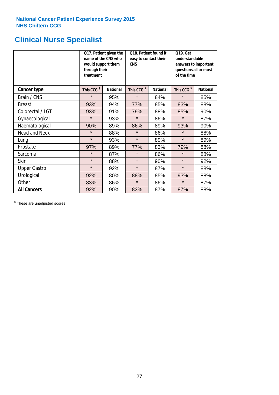# **Clinical Nurse Specialist**

|                      | would support them<br>through their<br>treatment | Q17. Patient given the<br>name of the CNS who | Q18. Patient found it<br>easy to contact their<br><b>CNS</b> |                 | <b>Q19. Get</b><br>understandable<br>answers to important<br>questions all or most<br>of the time |                 |  |
|----------------------|--------------------------------------------------|-----------------------------------------------|--------------------------------------------------------------|-----------------|---------------------------------------------------------------------------------------------------|-----------------|--|
| <b>Cancer type</b>   | This CCG <sup>\$</sup>                           | <b>National</b>                               | This CCG <sup>\$</sup>                                       | <b>National</b> | This CCG <sup>\$</sup>                                                                            | <b>National</b> |  |
| Brain / CNS          | $\star$                                          | 95%                                           | $\star$                                                      | 84%             | $\star$                                                                                           | 85%             |  |
| <b>Breast</b>        | 93%                                              | 94%                                           | 77%                                                          | 85%             | 83%                                                                                               | 88%             |  |
| Colorectal / LGT     | 93%                                              | 91%                                           | 79%                                                          | 88%             | 85%                                                                                               | 90%             |  |
| Gynaecological       | $\star$                                          | 93%                                           | $\star$                                                      | 86%             | $\star$                                                                                           | 87%             |  |
| Haematological       | 90%                                              | 89%                                           | 86%                                                          | 89%             | 93%                                                                                               | 90%             |  |
| <b>Head and Neck</b> | $\star$                                          | 88%                                           | $\star$                                                      | 86%             | $\star$                                                                                           | 88%             |  |
| Lung                 | $\star$                                          | 93%                                           | $\star$                                                      | 89%             | $\star$                                                                                           | 89%             |  |
| Prostate             | 97%                                              | 89%                                           | 77%                                                          | 83%             | 79%                                                                                               | 88%             |  |
| Sarcoma              | $\star$                                          | 87%                                           | $\star$                                                      | 86%             | $\star$                                                                                           | 88%             |  |
| Skin                 | $\star$                                          | 88%                                           | $\star$                                                      | 90%             | $\star$                                                                                           | 92%             |  |
| <b>Upper Gastro</b>  | $\star$                                          | 92%                                           | $\star$                                                      | 87%             | $\star$                                                                                           | 88%             |  |
| Urological           | 92%                                              | 80%                                           | 88%                                                          | 85%             | 93%                                                                                               | 88%             |  |
| Other                | 83%                                              | 86%                                           | $\star$<br>86%                                               |                 | $\star$                                                                                           | 87%             |  |
| <b>All Cancers</b>   | 92%                                              | 90%                                           | 83%                                                          | 87%             | 87%                                                                                               | 88%             |  |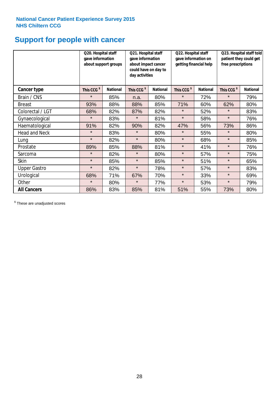# **Support for people with cancer**

|                      | Q20. Hospital staff<br>gave information | about support groups | Q21. Hospital staff<br>gave information<br>about impact cancer<br>could have on day to<br>day activities |                 | Q22. Hospital staff<br>gave information on<br>getting financial help |                 | Q23. Hospital staff told<br>patient they could get<br>free prescriptions |                 |
|----------------------|-----------------------------------------|----------------------|----------------------------------------------------------------------------------------------------------|-----------------|----------------------------------------------------------------------|-----------------|--------------------------------------------------------------------------|-----------------|
| Cancer type          | This CCG <sup>\$</sup>                  | <b>National</b>      | This CCG <sup>\$</sup>                                                                                   | <b>National</b> | This CCG <sup>\$</sup>                                               | <b>National</b> | This CCG <sup>\$</sup>                                                   | <b>National</b> |
| Brain / CNS          | $\star$                                 | 85%                  | n.a.                                                                                                     | 80%             | $\star$                                                              | 72%             | $\star$                                                                  | 79%             |
| <b>Breast</b>        | 93%                                     | 88%                  | 88%                                                                                                      | 85%             | 71%                                                                  | 60%             | 62%                                                                      | 80%             |
| Colorectal / LGT     | 68%                                     | 82%                  | 87%                                                                                                      | 82%             | $\star$                                                              | 52%             | $\star$                                                                  | 83%             |
| Gynaecological       | $\star$                                 | 83%                  | $\star$                                                                                                  | 81%             | $\star$                                                              | 58%             | $\star$                                                                  | 76%             |
| Haematological       | 91%                                     | 82%                  | 90%                                                                                                      | 82%             | 47%                                                                  | 56%             | 73%                                                                      | 86%             |
| <b>Head and Neck</b> | $\star$                                 | 83%                  | $\star$                                                                                                  | 80%             | $\star$                                                              | 55%             | $\star$                                                                  | 80%             |
| Lung                 | $\star$                                 | 82%                  | $\star$                                                                                                  | 80%             | $\star$                                                              | 68%             | $\star$                                                                  | 85%             |
| Prostate             | 89%                                     | 85%                  | 88%                                                                                                      | 81%             | $\star$                                                              | 41%             | $\star$                                                                  | 76%             |
| Sarcoma              | $\star$                                 | 82%                  | $\star$                                                                                                  | 80%             | $\star$                                                              | 57%             | $\star$                                                                  | 75%             |
| Skin                 | $\star$                                 | 85%                  | $\star$                                                                                                  | 85%             | $\star$                                                              | 51%             | $\star$                                                                  | 65%             |
| <b>Upper Gastro</b>  | $\star$                                 | 82%                  | $\star$                                                                                                  | 78%             | $\star$                                                              | 57%             | $\star$                                                                  | 83%             |
| Urological           | 68%                                     | 71%                  | 67%                                                                                                      | 70%             | $\star$                                                              | 33%             | $\star$                                                                  | 69%             |
| Other                | $\star$                                 | 80%                  | $\star$                                                                                                  | 77%             | $\star$                                                              | 53%             | $\star$                                                                  | 79%             |
| <b>All Cancers</b>   | 86%                                     | 83%                  | 85%                                                                                                      | 81%             | 51%                                                                  | 55%             | 73%                                                                      | 80%             |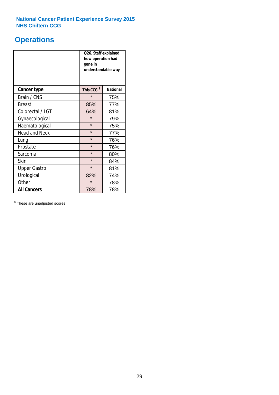# **Operations**

|                      | Q26. Staff explained<br>how operation had<br>gone in<br>understandable way |                 |  |  |
|----------------------|----------------------------------------------------------------------------|-----------------|--|--|
| <b>Cancer type</b>   | This CCG <sup>\$</sup>                                                     | <b>National</b> |  |  |
| Brain / CNS          | $\star$                                                                    | 75%             |  |  |
| <b>Breast</b>        | 85%                                                                        | 77%             |  |  |
| Colorectal / LGT     | 64%                                                                        | 81%             |  |  |
| Gynaecological       | $\star$                                                                    | 79%             |  |  |
| Haematological       | $\star$                                                                    | 75%             |  |  |
| <b>Head and Neck</b> | $\star$                                                                    | 77%             |  |  |
| Lung                 | $\star$                                                                    | 76%             |  |  |
| Prostate             | $\star$                                                                    | 76%             |  |  |
| Sarcoma              | $\star$                                                                    | 80%             |  |  |
| Skin                 | $\star$                                                                    | 84%             |  |  |
| <b>Upper Gastro</b>  | $\star$                                                                    | 81%             |  |  |
| Urological           | 82%                                                                        | 74%             |  |  |
| Other                | $\star$                                                                    | 78%             |  |  |
| <b>All Cancers</b>   | 78%                                                                        | 78%             |  |  |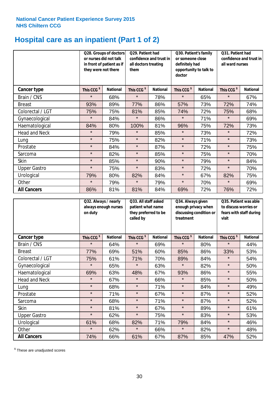# **Hospital care as an inpatient (Part 1 of 2)**

|                      | or nurses did not talk<br>they were not there | Q28. Groups of doctors<br>in front of patient as if | Q29. Patient had<br>confidence and trust in<br>all doctors treating<br>them |                 | Q30. Patient's family<br>or someone close<br>definitely had<br>opportunity to talk to<br>doctor |                 | Q31. Patient had<br>confidence and trust in I<br>all ward nurses |                 |
|----------------------|-----------------------------------------------|-----------------------------------------------------|-----------------------------------------------------------------------------|-----------------|-------------------------------------------------------------------------------------------------|-----------------|------------------------------------------------------------------|-----------------|
| Cancer type          | This CCG <sup>\$</sup>                        | <b>National</b>                                     | This CCG <sup>\$</sup>                                                      | <b>National</b> | This CCG <sup>\$</sup>                                                                          | <b>National</b> | This CCG <sup>\$</sup>                                           | <b>National</b> |
| Brain / CNS          | $\star$                                       | 68%                                                 | $\star$                                                                     | 78%             | $\star$                                                                                         | 65%             | $\star$                                                          | 67%             |
| <b>Breast</b>        | 93%                                           | 89%                                                 | 77%                                                                         | 86%             | 57%                                                                                             | 73%             | 72%                                                              | 74%             |
| Colorectal / LGT     | 75%                                           | 75%                                                 | 81%                                                                         | 85%             | 74%                                                                                             | 72%             | 75%                                                              | 68%             |
| Gynaecological       | $\star$                                       | 84%                                                 | $\star$                                                                     | 86%             | $\star$                                                                                         | 71%             | $\star$                                                          | 69%             |
| Haematological       | 84%                                           | 80%                                                 | 100%                                                                        | 81%             | 96%                                                                                             | 75%             | 72%                                                              | 73%             |
| <b>Head and Neck</b> | $\star$                                       | 79%                                                 | $\star$                                                                     | 85%             | $\star$                                                                                         | 73%             | $\star$                                                          | 72%             |
| Lung                 | $\star$                                       | 75%                                                 | $\star$                                                                     | 82%             | $\star$                                                                                         | 71%             | $\star$                                                          | 73%             |
| Prostate             | $\star$                                       | 84%                                                 | $\star$                                                                     | 87%             | $\star$                                                                                         | 72%             | $\star$                                                          | 75%             |
| Sarcoma              | $\star$                                       | 82%                                                 | $\star$                                                                     | 85%             | $\star$                                                                                         | 75%             | $\star$                                                          | 70%             |
| Skin                 | $\star$                                       | 85%                                                 | $\star$                                                                     | 90%             | $\star$                                                                                         | 79%             | $\star$                                                          | 84%             |
| <b>Upper Gastro</b>  | $\star$                                       | 75%                                                 | $\star$                                                                     | 83%             | $\star$                                                                                         | 72%             | $\star$                                                          | 70%             |
| Urological           | 79%                                           | 80%                                                 | 82%                                                                         | 84%             | $\star$                                                                                         | 67%             | 82%                                                              | 75%             |
| Other                | $\star$                                       | 79%                                                 | $\star$                                                                     | 79%             | $\star$                                                                                         | 70%             | $\star$                                                          | 69%             |
| <b>All Cancers</b>   | 86%                                           | 81%                                                 | 81%                                                                         | 84%             | 69%                                                                                             | 72%             | 76%                                                              | 72%             |

|                      | Q32. Always / nearly<br>on duty | always enough nurses | Q33. All staff asked<br>patient what name<br>they preferred to be<br>called by |                 | Q34. Always given<br>enough privacy when<br>discussing condition or<br>treatment |                 | Q35. Patient was able<br>to discuss worries or<br>fears with staff during<br>visit |                 |
|----------------------|---------------------------------|----------------------|--------------------------------------------------------------------------------|-----------------|----------------------------------------------------------------------------------|-----------------|------------------------------------------------------------------------------------|-----------------|
| <b>Cancer type</b>   | This CCG <sup>\$</sup>          | <b>National</b>      | This CCG <sup>\$</sup>                                                         | <b>National</b> | This CCG <sup>\$</sup>                                                           | <b>National</b> | This CCG <sup>\$</sup>                                                             | <b>National</b> |
| Brain / CNS          | $\star$                         | 64%                  | $\star$                                                                        | 69%             | $\star$                                                                          | 80%             | $\star$                                                                            | 44%             |
| <b>Breast</b>        | 77%                             | 69%                  | 51%                                                                            | 60%             | 85%                                                                              | 86%             | 33%                                                                                | 53%             |
| Colorectal / LGT     | 75%                             | 61%                  | 71%                                                                            | 70%             | 89%                                                                              | 84%             | $\star$                                                                            | 54%             |
| Gynaecological       | $\star$                         | 65%                  | $\star$                                                                        | 63%             | $\star$                                                                          | 82%             | $\star$                                                                            | 50%             |
| Haematological       | 69%                             | 63%                  | 48%                                                                            | 67%             | 93%                                                                              | 86%             | $\star$                                                                            | 55%             |
| <b>Head and Neck</b> | $\star$                         | 67%                  | $\star$                                                                        | 66%             | $\star$                                                                          | 85%             | $\star$                                                                            | 50%             |
| Lung                 | $\star$                         | 68%                  | $\star$                                                                        | 71%             | $\star$                                                                          | 84%             | $\star$                                                                            | 49%             |
| Prostate             | $\star$                         | 71%                  | $\star$                                                                        | 67%             | $\star$                                                                          | 87%             | $\star$                                                                            | 52%             |
| Sarcoma              | $\star$                         | 68%                  | $\star$                                                                        | 71%             | $\star$                                                                          | 87%             | $\star$                                                                            | 52%             |
| Skin                 | $\star$                         | 81%                  | $\star$                                                                        | 67%             | $\star$                                                                          | 89%             | $\star$                                                                            | 61%             |
| <b>Upper Gastro</b>  | $\star$                         | 62%                  | $\star$                                                                        | 75%             | $\star$                                                                          | 83%             | $\star$                                                                            | 53%             |
| Urological           | 61%                             | 68%                  | 82%                                                                            | 71%             | 79%                                                                              | 84%             | $\star$                                                                            | 46%             |
| Other                | $\star$                         | 62%                  | $\star$                                                                        | 66%             | $\star$                                                                          | 82%             | $\star$                                                                            | 48%             |
| <b>All Cancers</b>   | 74%                             | 66%                  | 61%                                                                            | 67%             | 87%                                                                              | 85%             | 47%                                                                                | 52%             |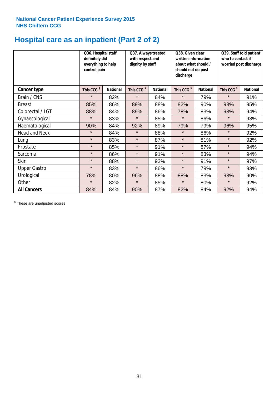# **Hospital care as an inpatient (Part 2 of 2)**

|                      | Q36. Hospital staff<br>definitely did<br>everything to help<br>control pain |                 | Q37. Always treated<br>with respect and<br>dignity by staff |                 | Q38. Given clear<br>written information<br>about what should /<br>should not do post<br>discharge |                 | Q39. Staff told patient<br>who to contact if<br>worried post discharge |                 |
|----------------------|-----------------------------------------------------------------------------|-----------------|-------------------------------------------------------------|-----------------|---------------------------------------------------------------------------------------------------|-----------------|------------------------------------------------------------------------|-----------------|
| <b>Cancer type</b>   | This CCG <sup>\$</sup>                                                      | <b>National</b> | This CCG <sup>\$</sup>                                      | <b>National</b> | This CCG <sup>\$</sup>                                                                            | <b>National</b> | This CCG <sup>\$</sup>                                                 | <b>National</b> |
| Brain / CNS          | $\star$                                                                     | 82%             | $\star$                                                     | 84%             | $\star$                                                                                           | 79%             | $\star$                                                                | 91%             |
| <b>Breast</b>        | 85%                                                                         | 86%             | 89%                                                         | 88%             | 82%                                                                                               | 90%             | 93%                                                                    | 95%             |
| Colorectal / LGT     | 88%                                                                         | 84%             | 89%                                                         | 86%             | 78%                                                                                               | 83%             | 93%                                                                    | 94%             |
| Gynaecological       | $\star$                                                                     | 83%             | $\star$                                                     | 85%             | $\star$                                                                                           | 86%             | $\star$                                                                | 93%             |
| Haematological       | 90%                                                                         | 84%             | 92%                                                         | 89%             | 79%                                                                                               | 79%             | 96%                                                                    | 95%             |
| <b>Head and Neck</b> | $\star$                                                                     | 84%             | $\star$                                                     | 88%             | $\star$                                                                                           | 86%             | $\star$                                                                | 92%             |
| Lung                 | $\star$                                                                     | 83%             | $\star$                                                     | 87%             | $\star$                                                                                           | 81%             | $\star$                                                                | 92%             |
| Prostate             | $\star$                                                                     | 85%             | $\star$                                                     | 91%             | $\star$                                                                                           | 87%             | $\star$                                                                | 94%             |
| Sarcoma              | $\star$                                                                     | 86%             | $\star$                                                     | 91%             | $\star$                                                                                           | 83%             | $\star$                                                                | 94%             |
| Skin                 | $\star$                                                                     | 88%             | $\star$                                                     | 93%             | $\star$                                                                                           | 91%             | $\star$                                                                | 97%             |
| <b>Upper Gastro</b>  | $\star$                                                                     | 83%             | $\star$                                                     | 86%             | $\star$                                                                                           | 79%             | $\star$                                                                | 93%             |
| Urological           | 78%                                                                         | 80%             | 96%                                                         | 88%             | 88%                                                                                               | 83%             | 93%                                                                    | 90%             |
| Other                | $\star$                                                                     | 82%             | $\star$                                                     | 85%             | $\star$                                                                                           | 80%             | $\star$                                                                | 92%             |
| <b>All Cancers</b>   | 84%                                                                         | 84%             | 90%                                                         | 87%             | 82%                                                                                               | 84%             | 92%                                                                    | 94%             |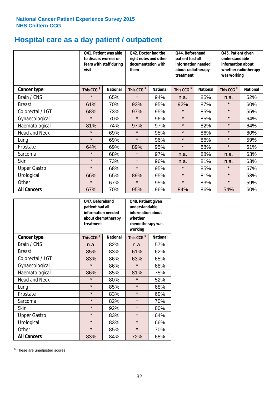# **Hospital care as a day patient / outpatient**

|                      | to discuss worries or<br>visit | Q41. Patient was able<br>fears with staff during | Q42. Doctor had the<br>right notes and other<br>documentation with<br>them |                 | Q44. Beforehand<br>patient had all<br>information needed<br>about radiotherapy<br>treatment |                 | Q45. Patient given<br>understandable<br>information about<br>whether radiotherapy<br>was working |                 |
|----------------------|--------------------------------|--------------------------------------------------|----------------------------------------------------------------------------|-----------------|---------------------------------------------------------------------------------------------|-----------------|--------------------------------------------------------------------------------------------------|-----------------|
| <b>Cancer type</b>   | This CCG <sup>\$</sup>         | <b>National</b>                                  | This CCG <sup>\$</sup>                                                     | <b>National</b> | This CCG <sup>\$</sup>                                                                      | <b>National</b> | This CCG <sup>\$</sup>                                                                           | <b>National</b> |
| Brain / CNS          | $\star$                        | 65%                                              | $\star$                                                                    | 94%             | n.a.                                                                                        | 85%             | n.a.                                                                                             | 52%             |
| <b>Breast</b>        | 61%                            | 70%                                              | 93%                                                                        | 95%             | 92%                                                                                         | 87%             | $\star$                                                                                          | 60%             |
| Colorectal / LGT     | 68%                            | 73%                                              | 97%                                                                        | 95%             | $\star$                                                                                     | 85%             | $\star$                                                                                          | 55%             |
| Gynaecological       | $\star$                        | 70%                                              | $\star$                                                                    | 96%             | $\star$                                                                                     | 85%             | $\star$                                                                                          | 64%             |
| Haematological       | 81%                            | 74%                                              | 97%                                                                        | 97%             | $\star$                                                                                     | 82%             | $\star$                                                                                          | 64%             |
| <b>Head and Neck</b> | $\star$                        | 69%                                              | $\star$                                                                    | 95%             | $\star$                                                                                     | 86%             | $\star$                                                                                          | 60%             |
| Lung                 | $\star$                        | 69%                                              | $\star$                                                                    | 96%             | $\star$                                                                                     | 86%             | $\star$                                                                                          | 59%             |
| Prostate             | 64%                            | 69%                                              | 89%                                                                        | 95%             | $\star$                                                                                     | 88%             | $\star$                                                                                          | 61%             |
| Sarcoma              | $\star$                        | 68%                                              | $\star$                                                                    | 97%             | n.a.                                                                                        | 88%             | n.a.                                                                                             | 63%             |
| Skin                 | $\star$                        | 73%                                              | $\star$                                                                    | 96%             | n.a.                                                                                        | 81%             | n.a.                                                                                             | 63%             |
| <b>Upper Gastro</b>  | $\star$                        | 68%                                              | $\star$                                                                    | 95%             | $\star$                                                                                     | 85%             | $\star$                                                                                          | 57%             |
| Urological           | 66%                            | 65%                                              | 89%                                                                        | 95%             | $\star$                                                                                     | 81%             | $\star$                                                                                          | 53%             |
| Other                | $\star$                        | 67%                                              | $\star$                                                                    | 95%             | $\star$                                                                                     | 83%             | $\star$                                                                                          | 59%             |
| <b>All Cancers</b>   | 67%                            | 70%                                              | 95%                                                                        | 96%             | 84%                                                                                         | 86%             | 54%                                                                                              | 60%             |

|                      | Q47. Beforehand<br>patient had all<br>information needed<br>about chemotherapy<br>treatment |                 | Q48. Patient given<br>understandable<br>information about<br>whether<br>chemotherapy was<br>working |                 |  |
|----------------------|---------------------------------------------------------------------------------------------|-----------------|-----------------------------------------------------------------------------------------------------|-----------------|--|
| <b>Cancer type</b>   | This CCG <sup>\$</sup>                                                                      | <b>National</b> | This CCG <sup>\$</sup>                                                                              | <b>National</b> |  |
| Brain / CNS          | n.a.                                                                                        | 82%             | n.a.                                                                                                | 57%             |  |
| <b>Breast</b>        | 85%                                                                                         | 83%             | 61%                                                                                                 | 62%             |  |
| Colorectal / LGT     | 83%                                                                                         | 86%             | 63%                                                                                                 | 65%             |  |
| Gynaecological       | $\star$                                                                                     | 86%             | $\star$                                                                                             | 68%             |  |
| Haematological       | 85%<br>86%                                                                                  |                 | 81%                                                                                                 | 75%             |  |
| <b>Head and Neck</b> | $\star$                                                                                     | 80%             | $\star$                                                                                             | 52%             |  |
| Lung                 | $\star$                                                                                     | 85%             | $\star$                                                                                             | 68%             |  |
| Prostate             | $\star$                                                                                     | 83%             | $\star$                                                                                             | 69%             |  |
| Sarcoma              | $\star$                                                                                     | 82%             | $\star$                                                                                             | 70%             |  |
| Skin                 | $\star$                                                                                     | 92%             | $\star$                                                                                             | 80%             |  |
| <b>Upper Gastro</b>  | $\star$                                                                                     | 83%             | $\star$                                                                                             | 64%             |  |
| Urological           | $\star$                                                                                     | 83%             | $\star$                                                                                             | 66%             |  |
| Other                | $\star$                                                                                     | 85%             | $\star$                                                                                             | 70%             |  |
| <b>All Cancers</b>   | 83%                                                                                         | 84%             | 72%                                                                                                 | 68%             |  |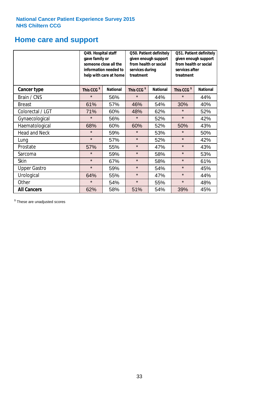# **Home care and support**

|                      | Q49. Hospital staff<br>gave family or | someone close all the<br>information needed to<br>help with care at home | Q50. Patient definitely<br>given enough support<br>from health or social<br>services during<br>treatment |                 | Q51. Patient definitely<br>given enough support<br>from health or social<br>services after<br>treatment |                 |
|----------------------|---------------------------------------|--------------------------------------------------------------------------|----------------------------------------------------------------------------------------------------------|-----------------|---------------------------------------------------------------------------------------------------------|-----------------|
| <b>Cancer type</b>   | This CCG <sup>\$</sup>                | <b>National</b>                                                          | This CCG <sup>\$</sup>                                                                                   | <b>National</b> | This CCG <sup>\$</sup>                                                                                  | <b>National</b> |
| Brain / CNS          | $\star$                               | 56%                                                                      | $\star$                                                                                                  | 44%             | $\star$                                                                                                 | 44%             |
| <b>Breast</b>        | 61%                                   | 57%                                                                      | 46%                                                                                                      | 54%             | 30%                                                                                                     | 40%             |
| Colorectal / LGT     | 71%                                   | 60%                                                                      | 48%                                                                                                      | 62%             | $\star$                                                                                                 | 52%             |
| Gynaecological       | $\star$                               | 56%                                                                      | $\star$                                                                                                  | 52%             | $\star$                                                                                                 | 42%             |
| Haematological       | 68%                                   | 60%                                                                      | 60%                                                                                                      | 52%             | 50%                                                                                                     | 43%             |
| <b>Head and Neck</b> | $\star$                               | 59%                                                                      | $\star$                                                                                                  | 53%             | $\star$                                                                                                 | 50%             |
| Lung                 | $\star$                               | 57%                                                                      | $\star$                                                                                                  | 52%             | $\star$                                                                                                 | 42%             |
| Prostate             | 57%                                   | 55%                                                                      | $\star$                                                                                                  | 47%             | $\star$                                                                                                 | 43%             |
| Sarcoma              | $\star$                               | 59%                                                                      | $\star$                                                                                                  | 58%             | $\star$                                                                                                 | 53%             |
| Skin                 | $\star$                               | 67%                                                                      | $\star$                                                                                                  | 58%             | $\star$                                                                                                 | 61%             |
| <b>Upper Gastro</b>  | $\star$                               | 59%                                                                      | $\star$                                                                                                  | 54%             | $\star$                                                                                                 | 45%             |
| Urological           | 64%                                   | 55%                                                                      | $\star$                                                                                                  | 47%             | $\star$                                                                                                 | 44%             |
| Other                | $\star$                               | 54%                                                                      | $\star$                                                                                                  | 55%             | $\star$                                                                                                 | 48%             |
| <b>All Cancers</b>   | 62%                                   | 58%                                                                      | 51%                                                                                                      | 54%             | 39%                                                                                                     | 45%             |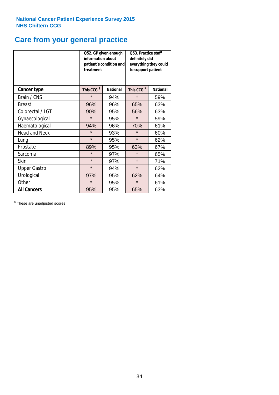# **Care from your general practice**

|                      | information about<br>treatment | Q52. GP given enough<br>patient's condition and | O53. Practice staff<br>definitely did<br>everything they could<br>to support patient |                 |  |
|----------------------|--------------------------------|-------------------------------------------------|--------------------------------------------------------------------------------------|-----------------|--|
| <b>Cancer type</b>   | This CCG <sup>\$</sup>         | <b>National</b>                                 | This CCG <sup>\$</sup>                                                               | <b>National</b> |  |
| Brain / CNS          | $\star$                        | 94%                                             | $\star$                                                                              | 59%             |  |
| <b>Breast</b>        | 96%                            | 96%                                             | 65%                                                                                  | 63%             |  |
| Colorectal / LGT     | 90%                            | 95%                                             | 56%                                                                                  | 63%             |  |
| Gynaecological       | $\star$                        | 95%                                             | $\star$                                                                              | 59%             |  |
| Haematological       | 94%                            | 96%                                             | 70%                                                                                  | 61%             |  |
| <b>Head and Neck</b> | $\star$                        | 93%                                             | $\star$                                                                              | 60%             |  |
| Lung                 | $\star$                        | 95%                                             | $\star$                                                                              | 62%             |  |
| Prostate             | 89%                            | 95%                                             | 63%                                                                                  | 67%             |  |
| Sarcoma              | $\star$                        | 97%                                             | $\star$                                                                              | 65%             |  |
| Skin                 | $\star$                        | 97%                                             | $\star$                                                                              | 71%             |  |
| <b>Upper Gastro</b>  | $\star$                        | 94%                                             | $\star$                                                                              | 62%             |  |
| Urological           | 97%                            | 95%                                             | 62%                                                                                  | 64%             |  |
| Other                | $\star$                        | 95%                                             | $\star$                                                                              | 61%             |  |
| <b>All Cancers</b>   | 95%                            | 95%                                             | 65%                                                                                  | 63%             |  |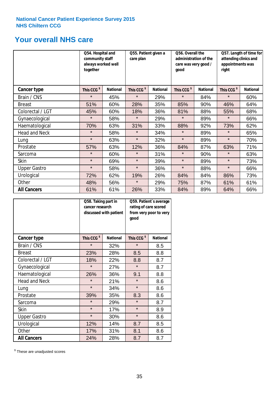# **Your overall NHS care**

|                      | Q54. Hospital and<br>community staff<br>always worked well<br>together |                 | Q55. Patient given a<br>care plan |                 | Q56. Overall the<br>administration of the<br>care was very good /<br>good |                 | Q57. Length of time for<br>attending clinics and<br>appointments was<br>right |                 |
|----------------------|------------------------------------------------------------------------|-----------------|-----------------------------------|-----------------|---------------------------------------------------------------------------|-----------------|-------------------------------------------------------------------------------|-----------------|
| Cancer type          | This CCG <sup>\$</sup>                                                 | <b>National</b> | This CCG <sup>\$</sup>            | <b>National</b> | This CCG <sup>\$</sup>                                                    | <b>National</b> | This CCG <sup>\$</sup>                                                        | <b>National</b> |
| Brain / CNS          | $\star$                                                                | 45%             | $\star$                           | 29%             | $\star$                                                                   | 84%             | $\star$                                                                       | 60%             |
| <b>Breast</b>        | 51%                                                                    | 60%             | 28%                               | 35%             | 85%                                                                       | 90%             | 46%                                                                           | 64%             |
| Colorectal / LGT     | 45%                                                                    | 60%             | 18%                               | 36%             | 81%                                                                       | 88%             | 55%                                                                           | 68%             |
| Gynaecological       | $\star$                                                                | 58%             | $\star$                           | 29%             | $\star$                                                                   | 89%             | $\star$                                                                       | 66%             |
| Haematological       | 70%                                                                    | 63%             | 31%                               | 33%             | 88%                                                                       | 92%             | 73%                                                                           | 62%             |
| <b>Head and Neck</b> | $\star$                                                                | 58%             | $\star$                           | 34%             | $\star$                                                                   | 89%             | $\star$                                                                       | 65%             |
| Lung                 | $\star$                                                                | 63%             | $\star$                           | 32%             | $\star$                                                                   | 89%             | $\star$                                                                       | 70%             |
| Prostate             | 57%                                                                    | 63%             | 12%                               | 36%             | 84%                                                                       | 87%             | 63%                                                                           | 71%             |
| Sarcoma              | $\star$                                                                | 60%             | $\star$                           | 31%             | $\star$                                                                   | 90%             | $\star$                                                                       | 63%             |
| Skin                 | $\star$                                                                | 69%             | $\star$                           | 39%             | $\star$                                                                   | 89%             | $\star$                                                                       | 73%             |
| <b>Upper Gastro</b>  | $\star$                                                                | 58%             | $\star$                           | 36%             | $\star$                                                                   | 88%             | $\star$                                                                       | 66%             |
| Urological           | 72%                                                                    | 62%             | 19%                               | 26%             | 84%                                                                       | 84%             | 86%                                                                           | 73%             |
| Other                | 48%                                                                    | 56%             | $\star$                           | 29%             | 75%                                                                       | 87%             | 61%                                                                           | 61%             |
| <b>All Cancers</b>   | 61%                                                                    | 61%             | 26%                               | 33%             | 84%                                                                       | 89%             | 64%                                                                           | 66%             |

|                      | Q58. Taking part in<br>cancer research | discussed with patient | Q59. Patient's average<br>rating of care scored<br>from very poor to very<br>good |                 |  |
|----------------------|----------------------------------------|------------------------|-----------------------------------------------------------------------------------|-----------------|--|
| <b>Cancer type</b>   | This CCG <sup>\$</sup>                 | <b>National</b>        | This CCG <sup>\$</sup>                                                            | <b>National</b> |  |
| Brain / CNS          | $\star$                                | 32%                    | $\star$                                                                           | 8.5             |  |
| <b>Breast</b>        | 23%                                    | 28%                    | 8.5                                                                               | 8.8             |  |
| Colorectal / LGT     | 18%                                    | 22%                    | 8.8                                                                               | 8.7             |  |
| Gynaecological       | $\star$                                | 27%                    | $\star$                                                                           | 8.7             |  |
| Haematological       | 26%                                    | 36%                    | 9.1                                                                               | 8.8             |  |
| <b>Head and Neck</b> | $\star$                                | 21%                    | $\star$                                                                           | 8.6             |  |
| Lung                 | $\star$                                | 34%                    | $\star$                                                                           | 8.6             |  |
| Prostate             | 39%                                    | 35%                    | 8.3                                                                               | 8.6             |  |
| Sarcoma              | $\star$                                | 29%                    | $\star$                                                                           | 8.7             |  |
| Skin                 | $\star$                                | 17%                    | $\star$                                                                           | 8.9             |  |
| <b>Upper Gastro</b>  | $\star$                                | 30%                    | $\star$                                                                           | 8.6             |  |
| Urological           | 12%                                    | 14%                    | 8.7                                                                               | 8.5             |  |
| Other                | 17%                                    | 31%                    | 8.1                                                                               | 8.6             |  |
| <b>All Cancers</b>   | 24%                                    | 28%                    | 8.7                                                                               | 8.7             |  |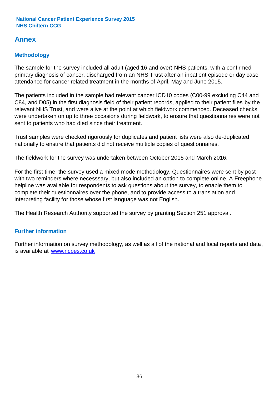# **Annex**

# **Methodology**

The sample for the survey included all adult (aged 16 and over) NHS patients, with a confirmed primary diagnosis of cancer, discharged from an NHS Trust after an inpatient episode or day case attendance for cancer related treatment in the months of April, May and June 2015.

The patients included in the sample had relevant cancer ICD10 codes (C00-99 excluding C44 and C84, and D05) in the first diagnosis field of their patient records, applied to their patient files by the relevant NHS Trust, and were alive at the point at which fieldwork commenced. Deceased checks were undertaken on up to three occasions during fieldwork, to ensure that questionnaires were not sent to patients who had died since their treatment.

Trust samples were checked rigorously for duplicates and patient lists were also de-duplicated nationally to ensure that patients did not receive multiple copies of questionnaires.

The fieldwork for the survey was undertaken between October 2015 and March 2016.

For the first time, the survey used a mixed mode methodology. Questionnaires were sent by post with two reminders where necesssary, but also included an option to complete online. A Freephone helpline was available for respondents to ask questions about the survey, to enable them to complete their questionnaires over the phone, and to provide access to a translation and interpreting facility for those whose first language was not English.

The Health Research Authority supported the survey by granting Section 251 approval.

# **Further information**

Further information on survey methodology, as well as all of the national and local reports and data, is available at www.ncpes.co.uk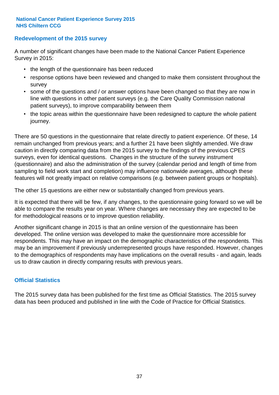### **Redevelopment of the 2015 survey**

A number of significant changes have been made to the National Cancer Patient Experience Survey in 2015:

- the length of the questionnaire has been reduced
- response options have been reviewed and changed to make them consistent throughout the survey
- some of the questions and / or answer options have been changed so that they are now in line with questions in other patient surveys (e.g. the Care Quality Commission national patient surveys), to improve comparability between them
- the topic areas within the questionnaire have been redesigned to capture the whole patient journey.

There are 50 questions in the questionnaire that relate directly to patient experience. Of these, 14 remain unchanged from previous years; and a further 21 have been slightly amended. We draw caution in directly comparing data from the 2015 survey to the findings of the previous CPES surveys, even for identical questions. Changes in the structure of the survey instrument (questionnaire) and also the administration of the survey (calendar period and length of time from sampling to field work start and completion) may influence nationwide averages, although these features will not greatly impact on relative comparisons (e.g. between patient groups or hospitals).

The other 15 questions are either new or substantially changed from previous years.

It is expected that there will be few, if any changes, to the questionnaire going forward so we will be able to compare the results year on year. Where changes are necessary they are expected to be for methodological reasons or to improve question reliability.

Another significant change in 2015 is that an online version of the questionnaire has been developed. The online version was developed to make the questionnaire more accessible for respondents. This may have an impact on the demographic characteristics of the respondents. This may be an improvement if previously underrepresented groups have responded. However, changes to the demographics of respondents may have implications on the overall results - and again, leads us to draw caution in directly comparing results with previous years.

### **Official Statistics**

The 2015 survey data has been published for the first time as Official Statistics. The 2015 survey data has been produced and published in line with the Code of Practice for Official Statistics.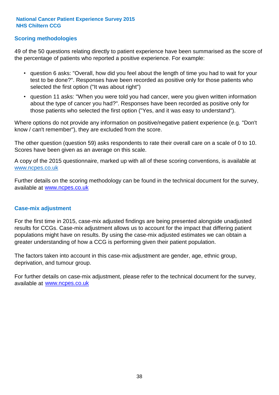### **Scoring methodologies**

49 of the 50 questions relating directly to patient experience have been summarised as the score of the percentage of patients who reported a positive experience. For example:

- question 6 asks: "Overall, how did you feel about the length of time you had to wait for your test to be done?". Responses have been recorded as positive only for those patients who selected the first option ("It was about right")
- question 11 asks: "When you were told you had cancer, were you given written information about the type of cancer you had?". Responses have been recorded as positive only for those patients who selected the first option ("Yes, and it was easy to understand").

Where options do not provide any information on positive/negative patient experience (e.g. "Don't know / can't remember"), they are excluded from the score.

The other question (question 59) asks respondents to rate their overall care on a scale of 0 to 10. Scores have been given as an average on this scale.

A copy of the 2015 questionnaire, marked up with all of these scoring conventions, is available at www.ncpes.co.uk

Further details on the scoring methodology can be found in the technical document for the survey, available at <u>www.ncpes.co.uk</u>

#### **Case-mix adjustment**

For the first time in 2015, case-mix adjusted findings are being presented alongside unadjusted results for CCGs. Case-mix adjustment allows us to account for the impact that differing patient populations might have on results. By using the case-mix adjusted estimates we can obtain a greater understanding of how a CCG is performing given their patient population.

The factors taken into account in this case-mix adjustment are gender, age, ethnic group, deprivation, and tumour group.

For further details on case-mix adjustment, please refer to the technical document for the survey, available at www.ncpes.co.uk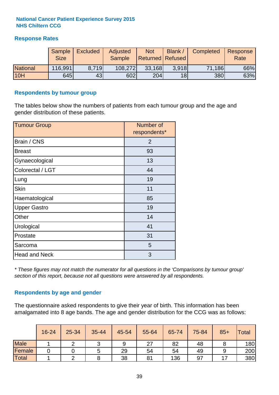### **Response Rates**

|                 | Sample<br><b>Size</b> | <b>Excluded</b> | Adjusted<br><b>Sample</b> | <b>Not</b><br><b>Returned Refused</b> | Blank /         | Completed | Response<br>Rate |
|-----------------|-----------------------|-----------------|---------------------------|---------------------------------------|-----------------|-----------|------------------|
| <b>National</b> | 116,991               | 8.719           | 108,272                   | 33,168                                | 3.918           | 71,186    | 66%              |
| 10H             | 645                   | 43              | 602                       | 204                                   | 18 <sup>l</sup> | 380       | 63%              |

#### **Respondents by tumour group**

The tables below show the numbers of patients from each tumour group and the age and gender distribution of these patients.

| <b>Tumour Group</b>  | Number of<br>respondents* |
|----------------------|---------------------------|
| Brain / CNS          | $\overline{2}$            |
| <b>Breast</b>        | 93                        |
| Gynaecological       | 13                        |
| Colorectal / LGT     | 44                        |
| Lung                 | 19                        |
| <b>Skin</b>          | 11                        |
| Haematological       | 85                        |
| <b>Upper Gastro</b>  | 19                        |
| Other                | 14                        |
| Urological           | 41                        |
| Prostate             | 31                        |
| Sarcoma              | 5                         |
| <b>Head and Neck</b> | 3                         |

*\* These figures may not match the numerator for all questions in the 'Comparisons by tumour group' section of this report, because not all questions were answered by all respondents.*

### **Respondents by age and gender**

The questionnaire asked respondents to give their year of birth. This information has been amalgamated into 8 age bands. The age and gender distribution for the CCG was as follows:

|             | 16-24 | 25-34 | 35-44 | 45-54 | 55-64 | 65-74 | 75-84 | $85+$ | <b>Total</b> |
|-------------|-------|-------|-------|-------|-------|-------|-------|-------|--------------|
| <b>Male</b> |       |       |       | 9     | 27    | 82    | 48    |       | 180          |
| Female      |       |       |       | 29    | 54    | 54    | 49    |       | 200          |
| Total       |       |       |       | 38    | 81    | 136   | 97    |       | 380          |